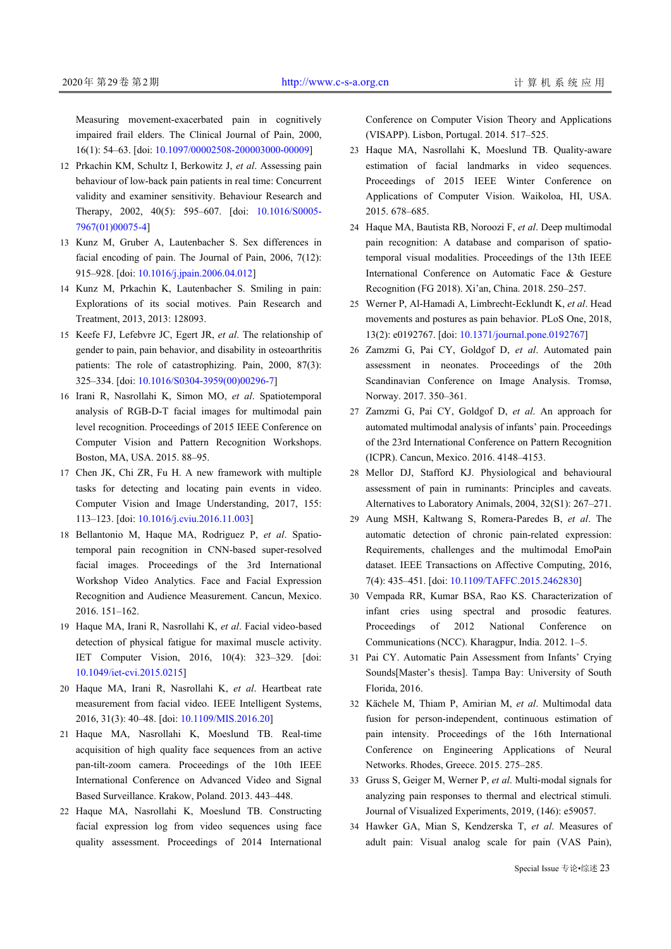Measuring movement-exacerbated pain in cognitively impaired frail elders. The Clinical Journal of Pain, 2000, 16(1): 54–63. [doi: [10.1097/00002508-200003000-00009\]](http://dx.doi.org/10.1097/00002508-200003000-00009)

- 12 Prkachin KM, Schultz I, Berkowitz J, et al. Assessing pain behaviour of low-back pain patients in real time: Concurrent validity and examiner sensitivity. Behaviour Research and Therapy, 2002, 40(5): 595–607. [doi: [10.1016/S0005-](http://dx.doi.org/10.1016/S0005-7967(01)00075-4) [7967\(01\)00075-4](http://dx.doi.org/10.1016/S0005-7967(01)00075-4)]
- 13 Kunz M, Gruber A, Lautenbacher S. Sex differences in facial encoding of pain. The Journal of Pain, 2006, 7(12): 915–928. [doi: [10.1016/j.jpain.2006.04.012](http://dx.doi.org/10.1016/j.jpain.2006.04.012)]
- 14 Kunz M, Prkachin K, Lautenbacher S. Smiling in pain: Explorations of its social motives. Pain Research and Treatment, 2013, 2013: 128093.
- 15 Keefe FJ, Lefebvre JC, Egert JR, et al. The relationship of gender to pain, pain behavior, and disability in osteoarthritis patients: The role of catastrophizing. Pain, 2000, 87(3): 325–334. [doi: [10.1016/S0304-3959\(00\)00296-7](http://dx.doi.org/10.1016/S0304-3959(00)00296-7)]
- 16 Irani R, Nasrollahi K, Simon MO, et al. Spatiotemporal analysis of RGB-D-T facial images for multimodal pain level recognition. Proceedings of 2015 IEEE Conference on Computer Vision and Pattern Recognition Workshops. Boston, MA, USA. 2015. 88–95.
- 17 Chen JK, Chi ZR, Fu H. A new framework with multiple tasks for detecting and locating pain events in video. Computer Vision and Image Understanding, 2017, 155: 113–123. [doi: [10.1016/j.cviu.2016.11.003\]](http://dx.doi.org/10.1016/j.cviu.2016.11.003)
- 18 Bellantonio M, Haque MA, Rodriguez P, et al. Spatiotemporal pain recognition in CNN-based super-resolved facial images. Proceedings of the 3rd International Workshop Video Analytics. Face and Facial Expression Recognition and Audience Measurement. Cancun, Mexico. 2016. 151–162.
- Haque MA, Irani R, Nasrollahi K, *et al*. Facial video-based 19 detection of physical fatigue for maximal muscle activity. IET Computer Vision, 2016, 10(4): 323–329. [doi: [10.1049/iet-cvi.2015.0215](http://dx.doi.org/10.1049/iet-cvi.2015.0215)]
- Haque MA, Irani R, Nasrollahi K, *et al*. Heartbeat rate 20 measurement from facial [video. IEEE Intellige](http://dx.doi.org/10.1109/MIS.2016.20)nt Systems, 2016, 31(3): 40–48. [doi: [10.1109/MIS.2016.20\]](http://dx.doi.org/10.1109/MIS.2016.20)
- Haque MA, Nasrollahi K, Moeslund TB. Real-time 21 acquisition of high quality face sequences from an active pan-tilt-zoom camera. Proceedings of the 10th IEEE International Conference on Advanced Video and Signal Based Surveillance. Krakow, Poland. 2013. 443–448.
- 22 Haque MA, Nasrollahi K, Moeslund TB. Constructing facial expression log from video sequences using face quality assessment. Proceedings of 2014 International

Conference on Computer Vision Theory and Applications (VISAPP). Lisbon, Portugal. 2014. 517–525.

- Haque MA, Nasrollahi K, Moeslund TB. Quality-aware 23 estimation of facial landmarks in video sequences. Proceedings of 2015 IEEE Winter Conference on Applications of Computer Vision. Waikoloa, HI, USA. 2015. 678–685.
- Haque MA, Bautista RB, Noroozi F, *et al*. Deep multimodal 24 pain recognition: A database and comparison of spatiotemporal visual modalities. Proceedings of the 13th IEEE International Conference on Automatic Face & Gesture Recognition (FG 2018). Xi'an, China. 2018. 250–257.
- Werner P, Al-Hamadi A, Limbrecht-Ecklundt K, *et al*. Head 25 movements and postures as pain behavior. PLoS One, 2018, 13(2): e0192767. [doi: [10.1371/journal.pone.0192767\]](http://dx.doi.org/10.1371/journal.pone.0192767)
- 26 Zamzmi G, Pai CY, Goldgof D, et al. Automated pain assessment in neonates. Proceedings of the 20th Scandinavian Conference on Image Analysis. Tromsø, Norway. 2017. 350–361.
- 27 Zamzmi G, Pai CY, Goldgof D, et al. An approach for automated multimodal analysis of infants' pain. Proceedings of the 23rd International Conference on Pattern Recognition (ICPR). Cancun, Mexico. 2016. 4148–4153.
- 28 Mellor DJ, Stafford KJ. Physiological and behavioural assessment of pain in ruminants: Principles and caveats. Alternatives to Laboratory Animals, 2004, 32(S1): 267–271.
- 29 Aung MSH, Kaltwang S, Romera-Paredes B, et al. The automatic detection of chronic pain-related expression: Requirements, challenges and the multimodal EmoPain dataset. IEEE Transactions on Affective Computing, 2016, 7(4): 435–451. [doi: [10.1109/TAFFC.2015.2462830](http://dx.doi.org/10.1109/TAFFC.2015.2462830)]
- Vempada RR, Kumar BSA, Rao KS. Characterization of 30 infant cries using spectral and prosodic features. Proceedings of 2012 National Conference on Communications (NCC). Kharagpur, India. 2012. 1–5.
- 31 Pai CY. Automatic Pain Assessment from Infants' Crying Sounds[Master's thesis]. Tampa Bay: University of South Florida, 2016.
- 32 Kächele M, Thiam P, Amirian M, et al. Multimodal data fusion for person-independent, continuous estimation of pain intensity. Proceedings of the 16th International Conference on Engineering Applications of Neural Networks. Rhodes, Greece. 2015. 275–285.
- 33 Gruss S, Geiger M, Werner P, et al. Multi-modal signals for analyzing pain responses to thermal and electrical stimuli. Journal of Visualized Experiments, 2019, (146): e59057.
- 34 Hawker GA, Mian S, Kendzerska T, et al. Measures of adult pain: Visual analog scale for pain (VAS Pain),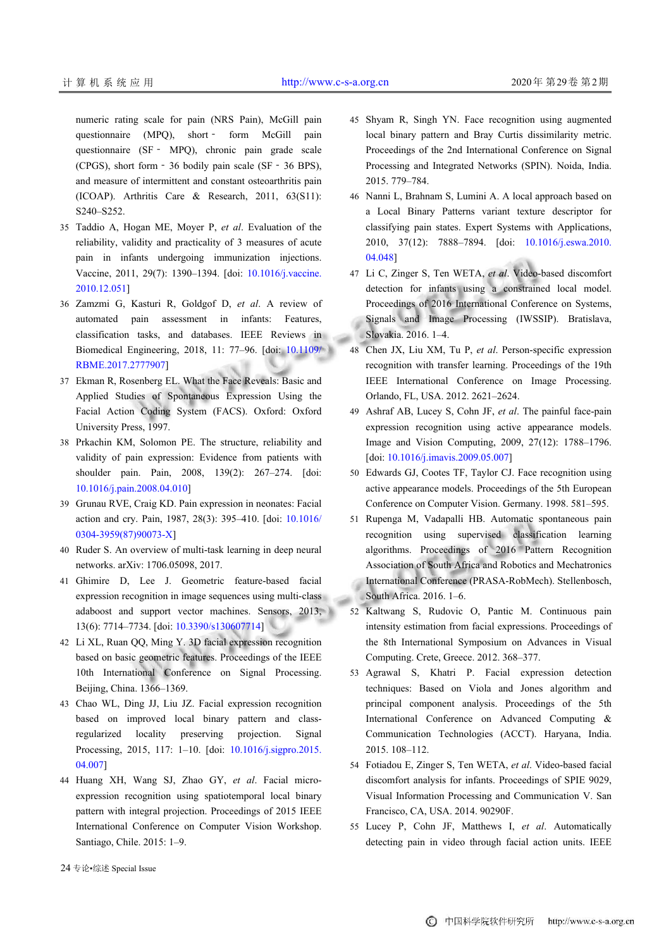numeric rating scale for pain (NRS Pain), McGill pain

questionnaire (MPQ), short - form McGill pain questionnaire (SF‐ MPQ), chronic pain grade scale (CPGS), short form‐36 bodily pain scale (SF‐36 BPS), and measure of intermittent and constant osteoarthritis pain (ICOAP). Arthritis Care  $\&$  Research, 2011, 63(S11): S240–S252.

- Taddio A, Hogan ME, Moyer P, *et al*. Evaluation of the 35 reliability, validity and practicality of 3 measures of acute pain in infants undergoing immunization injections. Vaccine, 2011, 29(7): 1390–1394. [doi: [10.1016/j.vaccine.](http://dx.doi.org/10.1016/j.vaccine.2010.12.051) [2010.12.051](http://dx.doi.org/10.1016/j.vaccine.2010.12.051)]
- 36 Zamzmi G, Kasturi R, Goldgof D, et al. A review of automated pain assessment in infants: Features, classification tasks, and databases. IEEE Reviews in Biomedical Engineering, 2018, 11: 77–96. [doi: [10.1109/](http://dx.doi.org/10.1109/RBME.2017.2777907) [RBME.2017.2777907\]](http://dx.doi.org/10.1109/RBME.2017.2777907)
- Ekman R, Rosenberg EL. What the Face Reveals: Basic and 37 Applied Studies of Spontaneous Expression Using the Facial Action Coding System (FACS). Oxford: Oxford University Press, 1997.
- 38 Prkachin KM, Solomon PE. The structure, reliability and validity of pain expression: Evidence from patients with shoulder pain. Pain, 2008, 139(2): 267–274. [doi: [10.1016/j.pain.2008.04.010\]](http://dx.doi.org/10.1016/j.pain.2008.04.010)
- 39 Grunau RVE, Craig KD. Pain expression in neonates: Facial action and cry. Pain, 1987, 28(3): 395–410. [doi: [10.1016/](http://dx.doi.org/10.1016/0304-3959(87)90073-X) [0304-3959\(87\)90073-X](http://dx.doi.org/10.1016/0304-3959(87)90073-X)]
- 40 Ruder S. An overview of multi-task learning in deep neural networks. arXiv: 1706.05098, 2017.
- Ghimire D, Lee J. Geometric feature-based facial 41 expression recognition in image sequences using multi-class adaboost and support vector machines. Sensors, 2013, 13(6): 7714–7734. [doi: [10.3390/s130607714\]](http://dx.doi.org/10.3390/s130607714)
- Li XL, Ruan QQ, Ming Y. 3D facial expression recognition 42 based on basic geometric features. Proceedings of the IEEE 10th International Conference on Signal Processing. Beijing, China. 1366–1369.
- Chao WL, Ding JJ, Liu JZ. Facial expression recognition 43 based on improved local binary pattern and classregularized locality preserving [projection. Signal](http://dx.doi.org/10.1016/j.sigpro.2015.04.007) [Process](http://dx.doi.org/10.1016/j.sigpro.2015.04.007)ing, 2015, 117: 1-10. [doi: [10.1016/j.sigpro.2015.](http://dx.doi.org/10.1016/j.sigpro.2015.04.007)] [04.007](http://dx.doi.org/10.1016/j.sigpro.2015.04.007)]
- 44 Huang XH, Wang SJ, Zhao GY, et al. Facial microexpression recognition using spatiotemporal local binary pattern with integral projection. Proceedings of 2015 IEEE International Conference on Computer Vision Workshop. Santiago, Chile. 2015: 1–9.
- 45 Shyam R, Singh YN. Face recognition using augmented local binary pattern and Bray Curtis dissimilarity metric. Proceedings of the 2nd International Conference on Signal Processing and Integrated Networks (SPIN). Noida, India. 2015. 779–784.
- Nanni L, Brahnam S, Lumini A. A local approach based on 46 a Local Binary Patterns variant texture descriptor for classifying pain states. Expert Systems with Applications, 2010, 37(12): 7888–7894. [doi: [10.1016/j.eswa.2010.](http://dx.doi.org/10.1016/j.eswa.2010.04.048) [04.048](http://dx.doi.org/10.1016/j.eswa.2010.04.048)]
- Li C, Zinger S, Ten WETA, *et al*. Video-based discomfort 47 detection for infants using a constrained local model. Proceedings of 2016 International Conference on Systems, Signals and Image Processing (IWSSIP). Bratislava, Slovakia. 2016. 1–4.
- 48 Chen JX, Liu XM, Tu P, et al. Person-specific expression recognition with transfer learning. Proceedings of the 19th IEEE International Conference on Image Processing. Orlando, FL, USA. 2012. 2621–2624.
- Ashraf AB, Lucey S, Cohn JF, *et al*. The painful face-pain 49 expression recognition using active appearance models. Image and Vision Computing, 2009, 27(12): 1788–1796. [doi: [10.1016/j.imavis.2009.05.007\]](http://dx.doi.org/10.1016/j.imavis.2009.05.007)
- 50 Edwards GJ, Cootes TF, Taylor CJ. Face recognition using active appearance models. Proceedings of the 5th European Conference on Computer Vision. Germany. 1998. 581–595.
- 51 Rupenga M, Vadapalli HB. Automatic spontaneous pain recognition using supervised classification learning algorithms. Proceedings of 2016 Pattern Recognition Association of South Africa and Robotics and Mechatronics International Conference (PRASA-RobMech). Stellenbosch, South Africa. 2016. 1–6.
- 52 Kaltwang S, Rudovic O, Pantic M. Continuous pain intensity estimation from facial expressions. Proceedings of the 8th International Symposium on Advances in Visual Computing. Crete, Greece. 2012. 368–377.
- 53 Agrawal S, Khatri P. Facial expression detection techniques: Based on Viola and Jones algorithm and principal component analysis. Proceedings of the 5th International Conference on Advanced Computing & Communication Technologies (ACCT). Haryana, India. 2015. 108–112.
- 54 Fotiadou E, Zinger S, Ten WETA, et al. Video-based facial discomfort analysis for infants. Proceedings of SPIE 9029, Visual Information Processing and Communication V. San Francisco, CA, USA. 2014. 90290F.
- 55 Lucey P, Cohn JF, Matthews I, et al. Automatically detecting pain in video through facial action units. IEEE

24 专论•综述 Special Issue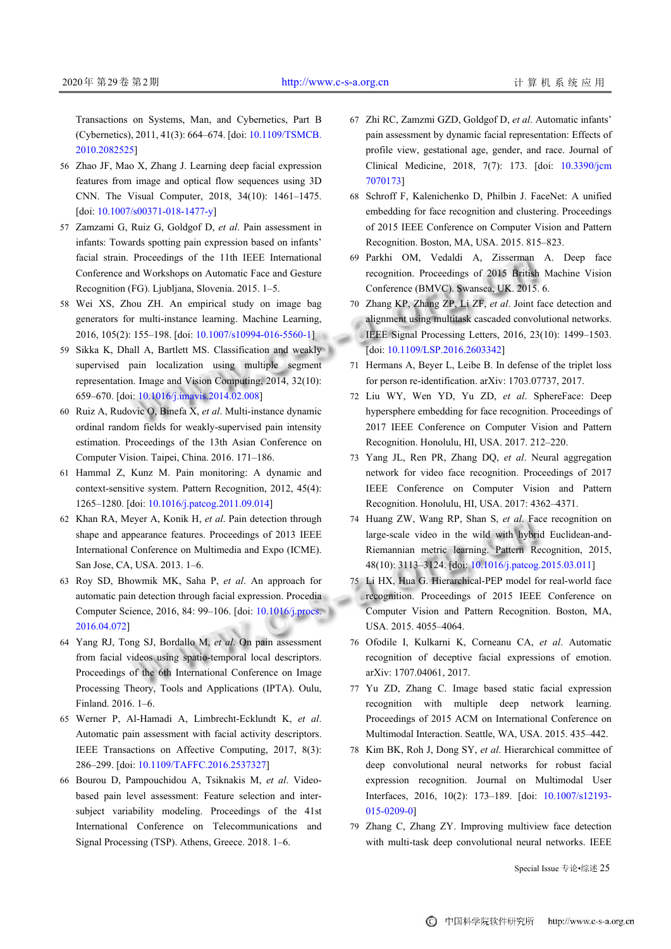Transactions on Systems, Man, and Cybernetics, Part B (Cybernetics), 2011, 41(3): 664–674. [doi: [10.1109/TSMCB.](http://dx.doi.org/10.1109/TSMCB.2010.2082525) [2010.2082525](http://dx.doi.org/10.1109/TSMCB.2010.2082525)]

- 56 Zhao JF, Mao X, Zhang J. Learning deep facial expression features from image and optical flow sequences using 3D CNN. The Visual Computer, 2018, 34(10): 1461–1475. [doi: [10.1007/s00371-018-1477-y](http://dx.doi.org/10.1007/s00371-018-1477-y)]
- 57 Zamzami G, Ruiz G, Goldgof D, et al. Pain assessment in infants: Towards spotting pain expression based on infants' facial strain. Proceedings of the 11th IEEE International Conference and Workshops on Automatic Face and Gesture Recognition (FG). Ljubljana, Slovenia. 2015. 1–5.
- Wei XS, Zhou ZH. An empirical study on image bag 58 generators for multi-instance learning. Machine Learning, 2016, 105(2): 155–198. [doi: [10.1007/s10994-016-5560-1\]](http://dx.doi.org/10.1007/s10994-016-5560-1)
- 59 Sikka K, Dhall A, Bartlett MS. Classification and weakly supervised pain localization using multiple segment representation. Image and Vision Computing, 2014, 32(10): 659–670. [doi: [10.1016/j.imavis.2014.02.008](http://dx.doi.org/10.1016/j.imavis.2014.02.008)]
- 60 Ruiz A, Rudovic O, Binefa X, et al. Multi-instance dynamic ordinal random fields for weakly-supervised pain intensity estimation. Proceedings of the 13th Asian Conference on Computer Vision. Taipei, China. 2016. 171–186.
- Hammal Z, Kunz M. Pain monitoring: A dynamic and 61 context-sensitive system. Pattern Recognition, 2012, 45(4): 1265–1280. [doi: [10.1016/j.patcog.2011.09.014](http://dx.doi.org/10.1016/j.patcog.2011.09.014)]
- 62 Khan RA, Meyer A, Konik H, et al. Pain detection through shape and appearance features. Proceedings of 2013 IEEE International Conference on Multimedia and Expo (ICME). San Jose, CA, USA. 2013. 1–6.
- 63 Roy SD, Bhowmik MK, Saha P, et al. An approach for automatic pain detection through facial expression. Procedia Computer Science, 2016, 84: 99–106. [doi: [10.1016/j.procs.](http://dx.doi.org/10.1016/j.procs.2016.04.072) [2016.04.072](http://dx.doi.org/10.1016/j.procs.2016.04.072)]
- 64 Yang RJ, Tong SJ, Bordallo M, et al. On pain assessment from facial videos using spatio-temporal local descriptors. Proceedings of the 6th International Conference on Image Processing Theory, Tools and Applications (IPTA). Oulu, Finland. 2016. 1–6.
- Werner P, Al-Hamadi A, Limbrecht-Ecklundt K, *et al*. 65 Automatic pain assessment with facial activity descriptors. IEEE Transact[ions on Affective Computing,](http://dx.doi.org/10.1109/TAFFC.2016.2537327) 2017, 8(3): 286–299. [doi: [10.1109/TAFFC.2016.2537327](http://dx.doi.org/10.1109/TAFFC.2016.2537327)]
- 66 Bourou D, Pampouchidou A, Tsiknakis M, et al. Videobased pain level assessment: Feature selection and intersubject variability modeling. Proceedings of the 41st International Conference on Telecommunications and Signal Processing (TSP). Athens, Greece. 2018. 1–6.
- Zhi RC, Zamzmi GZD, Goldgof D, *et al*. Automatic infants' 67 pain assessment by dynamic facial representation: Effects of profile view, gestational age, gender, and race. Journal of Clinical Medicine, 2018, 7(7): 173. [doi: [10.3390/jcm](http://dx.doi.org/10.3390/jcm7070173) [7070173](http://dx.doi.org/10.3390/jcm7070173)]
- 68 Schroff F, Kalenichenko D, Philbin J. FaceNet: A unified embedding for face recognition and clustering. Proceedings of 2015 IEEE Conference on Computer Vision and Pattern Recognition. Boston, MA, USA. 2015. 815–823.
- 69 Parkhi OM, Vedaldi A, Zisserman A. Deep face recognition. Proceedings of 2015 British Machine Vision Conference (BMVC). Swansea, UK. 2015. 6.
- 70 Zhang KP, Zhang ZP, Li ZF, et al. Joint face detection and alignment using multitask cascaded convolutional networks. IEEE Signal Processing Letters, 2016, 23(10): 1499–1503. [doi: [10.1109/LSP.2016.2603342](http://dx.doi.org/10.1109/LSP.2016.2603342)]
- 71 Hermans A, Beyer L, Leibe B. In defense of the triplet loss for person re-identification. arXiv: 1703.07737, 2017.
- 72 Liu WY, Wen YD, Yu ZD, et al. SphereFace: Deep hypersphere embedding for face recognition. Proceedings of 2017 IEEE Conference on Computer Vision and Pattern Recognition. Honolulu, HI, USA. 2017. 212–220.
- 73 Yang JL, Ren PR, Zhang DQ, et al. Neural aggregation network for video face recognition. Proceedings of 2017 IEEE Conference on Computer Vision and Pattern Recognition. Honolulu, HI, USA. 2017: 4362–4371.
- 74 Huang ZW, Wang RP, Shan S, et al. Face recognition on large-scale video in the wild with hybrid Euclidean-and-Riemannian metric learning. Pattern Recognition, 2015, 48(10): 3113–3124. [doi: [10.1016/j.patcog.2015.03.011](http://dx.doi.org/10.1016/j.patcog.2015.03.011)]
- 75 Li HX, Hua G. Hierarchical-PEP model for real-world face recognition. Proceedings of 2015 IEEE Conference on Computer Vision and Pattern Recognition. Boston, MA, USA. 2015. 4055–4064.
- Ofodile I, Kulkarni K, Corneanu CA, *et al*. Automatic 76 recognition of deceptive facial expressions of emotion. arXiv: 1707.04061, 2017.
- 77 Yu ZD, Zhang C. Image based static facial expression recognition with multiple deep network learning. Proceedings of 2015 ACM on International Conference on Multimodal Interaction. Seattle, WA, USA. 2015. 435–442.
- 78 Kim BK, Roh J, Dong SY, et al. Hierarchical committee of deep convolutional neural networks for robust facial expression recognition. Journal on [Multimodal User](http://dx.doi.org/10.1007/s12193-015-0209-0) [Interfaces,](http://dx.doi.org/10.1007/s12193-015-0209-0) 2016, 10(2): 173–189. [doi: [10.1007/s12193-](http://dx.doi.org/10.1007/s12193-015-0209-0) [015-0209-0\]](http://dx.doi.org/10.1007/s12193-015-0209-0)
- 79 Zhang C, Zhang ZY. Improving multiview face detection with multi-task deep convolutional neural networks. IEEE

Special Issue 专论•综述 25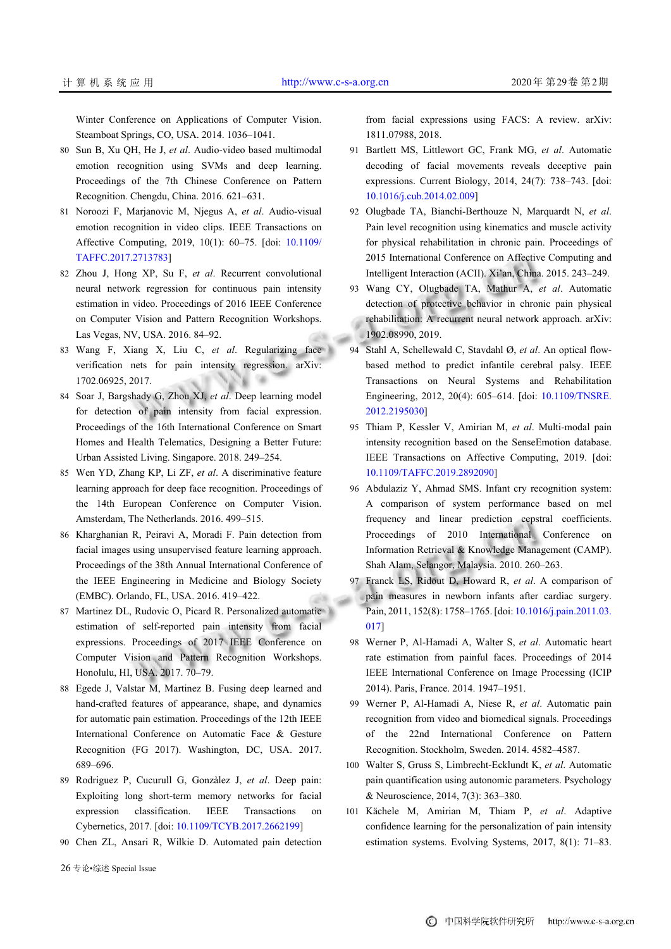Winter Conference on Applications of Computer Vision. Steamboat Springs, CO, USA. 2014. 1036–1041.

- Sun B, Xu QH, He J, *et al*. Audio-video based multimodal 80 emotion recognition using SVMs and deep learning. Proceedings of the 7th Chinese Conference on Pattern Recognition. Chengdu, China. 2016. 621–631.
- 81 Noroozi F, Marjanovic M, Njegus A, et al. Audio-visual emotion recognition in video clips. IEEE Transactions on Affective Computing, 2019, 10(1): 60–75. [doi: [10.1109/](http://dx.doi.org/10.1109/TAFFC.2017.2713783) [TAFFC.2017.2713783](http://dx.doi.org/10.1109/TAFFC.2017.2713783)]
- 82 Zhou J, Hong XP, Su F, et al. Recurrent convolutional neural network regression for continuous pain intensity estimation in video. Proceedings of 2016 IEEE Conference on Computer Vision and Pattern Recognition Workshops. Las Vegas, NV, USA. 2016. 84–92.
- Wang F, Xiang X, Liu C, *et al*. Regularizing face 83 verification nets for pain intensity regression. arXiv: 1702.06925, 2017.
- 84 Soar J, Bargshady G, Zhou XJ, et al. Deep learning model for detection of pain intensity from facial expression. Proceedings of the 16th International Conference on Smart Homes and Health Telematics, Designing a Better Future: Urban Assisted Living. Singapore. 2018. 249–254.
- Wen YD, Zhang KP, Li ZF, *et al*. A discriminative feature 85 learning approach for deep face recognition. Proceedings of the 14th European Conference on Computer Vision. Amsterdam, The Netherlands. 2016. 499–515.
- 86 Kharghanian R, Peiravi A, Moradi F. Pain detection from facial images using unsupervised feature learning approach. Proceedings of the 38th Annual International Conference of the IEEE Engineering in Medicine and Biology Society (EMBC). Orlando, FL, USA. 2016. 419–422.
- Martinez DL, Rudovic O, Picard R. Personalized automatic 87 estimation of self-reported pain intensity from facial expressions. Proceedings of 2017 IEEE Conference on Computer Vision and Pattern Recognition Workshops. Honolulu, HI, USA. 2017. 70–79.
- 88 Egede J, Valstar M, Martinez B. Fusing deep learned and hand-crafted features of appearance, shape, and dynamics for automatic pain estimation. Proceedings of the 12th IEEE International Conference on Automatic Face & Gesture Recognition (FG 2017). Washington, DC, USA. 2017. 689–696.
- 89 Rodriguez P, Cucurull G, Gonzàlez J, et al. Deep pain: Exploiting long short-term memory networks for facial expression classificat[ion. IEEE Transactions](http://dx.doi.org/10.1109/TCYB.2017.2662199) on Cybernetics, 2017. [doi: [10.1109/TCYB.2017.2662199](http://dx.doi.org/10.1109/TCYB.2017.2662199)]
- 90 Chen ZL, Ansari R, Wilkie D. Automated pain detection

from facial expressions using FACS: A review. arXiv: 1811.07988, 2018.

- Bartlett MS, Littlewort GC, Frank MG, *et al*. Automatic 91 decoding of facial movements reveals deceptive pain expressions. Current Biology, 2014, 24(7): 738–743. [doi: [10.1016/j.cub.2014.02.009](http://dx.doi.org/10.1016/j.cub.2014.02.009)]
- 92 Olugbade TA, Bianchi-Berthouze N, Marquardt N, et al. Pain level recognition using kinematics and muscle activity for physical rehabilitation in chronic pain. Proceedings of 2015 International Conference on Affective Computing and Intelligent Interaction (ACII). Xi'an, China. 2015. 243–249.
- Wang CY, Olugbade TA, Mathur A, *et al*. Automatic 93 detection of protective behavior in chronic pain physical rehabilitation: A recurrent neural network approach. arXiv: 1902.08990, 2019.
- Stahl A, Schellewald C, Stavdahl Ø, *et al*. An optical flow-94 based method to predict infantile cerebral palsy. IEEE Transactions on Neural Systems and Rehabilitation Engineering, 2012, 20(4): 605–614. [doi: [10.1109/TNSRE.](http://dx.doi.org/10.1109/TNSRE.2012.2195030) [2012.2195030](http://dx.doi.org/10.1109/TNSRE.2012.2195030)]
- 95 Thiam P, Kessler V, Amirian M, et al. Multi-modal pain intensity recognition based on the SenseEmotion database. IEEE Transactions on Affective Computing, 2019. [doi: [10.1109/TAFFC.2019.2892090](http://dx.doi.org/10.1109/TAFFC.2019.2892090)]
- 96 Abdulaziz Y, Ahmad SMS. Infant cry recognition system: A comparison of system performance based on mel frequency and linear prediction cepstral coefficients. Proceedings of 2010 International Conference on Information Retrieval & Knowledge Management (CAMP). Shah Alam, Selangor, Malaysia. 2010. 260–263.
- Franck LS, Ridout D, Howard R, *et al*. A comparison of pain measures in newborn infants after cardiac surgery. Pain, 2011, 152(8): 1758–1765. [doi: [10.1016/j.pain.2011.03.](http://dx.doi.org/10.1016/j.pain.2011.03.017) [017](http://dx.doi.org/10.1016/j.pain.2011.03.017)] 97
- 98 Werner P, Al-Hamadi A, Walter S, et al. Automatic heart rate estimation from painful faces. Proceedings of 2014 IEEE International Conference on Image Processing (ICIP 2014). Paris, France. 2014. 1947–1951.
- 99 Werner P, Al-Hamadi A, Niese R, et al. Automatic pain recognition from video and biomedical signals. Proceedings of the 22nd International Conference on Pattern Recognition. Stockholm, Sweden. 2014. 4582–4587.
- Walter S, Gruss S, Limbrecht-Ecklundt K, *et al*. Automatic 100 pain quantification using autonomic parameters. Psychology & Neuroscience, 2014, 7(3): 363–380.
- Kächele M, Amirian M, Thiam P, *et al*. Adaptive 101 confidence learning for the personalization of pain intensity estimation systems. Evolving Systems, 2017, 8(1): 71–83.